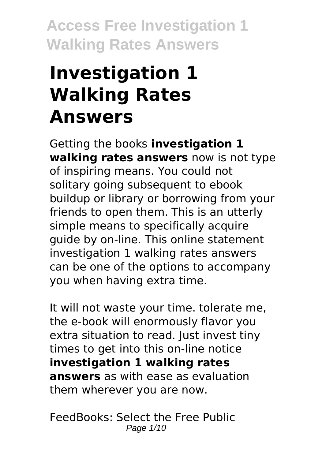# **Investigation 1 Walking Rates Answers**

Getting the books **investigation 1 walking rates answers** now is not type of inspiring means. You could not solitary going subsequent to ebook buildup or library or borrowing from your friends to open them. This is an utterly simple means to specifically acquire guide by on-line. This online statement investigation 1 walking rates answers can be one of the options to accompany you when having extra time.

It will not waste your time. tolerate me, the e-book will enormously flavor you extra situation to read. Just invest tiny times to get into this on-line notice **investigation 1 walking rates answers** as with ease as evaluation them wherever you are now.

FeedBooks: Select the Free Public Page 1/10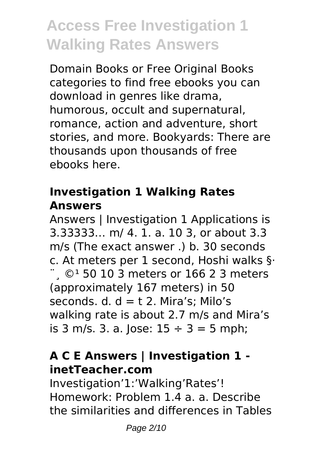Domain Books or Free Original Books categories to find free ebooks you can download in genres like drama, humorous, occult and supernatural, romance, action and adventure, short stories, and more. Bookyards: There are thousands upon thousands of free ebooks here.

#### **Investigation 1 Walking Rates Answers**

Answers | Investigation 1 Applications is 3.33333… m/ 4. 1. a. 10 3, or about 3.3 m/s (The exact answer .) b. 30 seconds c. At meters per 1 second, Hoshi walks §·  $\degree$   $\degree$  50 10 3 meters or 166 2 3 meters (approximately 167 meters) in 50 seconds.  $d. d = t$  2. Mira's: Milo's walking rate is about 2.7 m/s and Mira's is 3 m/s. 3. a. Jose:  $15 \div 3 = 5$  mph;

### **A C E Answers | Investigation 1 inetTeacher.com**

Investigation'1:'Walking'Rates'! Homework: Problem 1.4 a. a. Describe the similarities and differences in Tables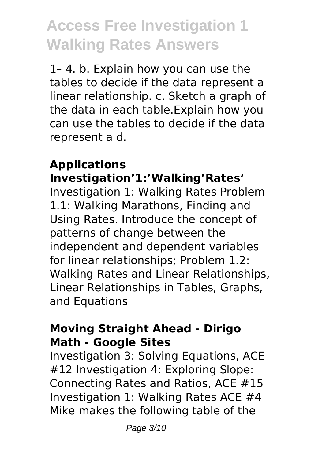1– 4. b. Explain how you can use the tables to decide if the data represent a linear relationship. c. Sketch a graph of the data in each table.Explain how you can use the tables to decide if the data represent a d.

#### **Applications Investigation'1:'Walking'Rates'**

Investigation 1: Walking Rates Problem 1.1: Walking Marathons, Finding and Using Rates. Introduce the concept of patterns of change between the independent and dependent variables for linear relationships; Problem 1.2: Walking Rates and Linear Relationships, Linear Relationships in Tables, Graphs, and Equations

#### **Moving Straight Ahead - Dirigo Math - Google Sites**

Investigation 3: Solving Equations, ACE #12 Investigation 4: Exploring Slope: Connecting Rates and Ratios, ACE #15 Investigation 1: Walking Rates ACE #4 Mike makes the following table of the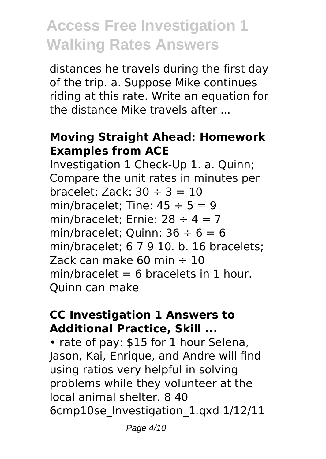distances he travels during the first day of the trip. a. Suppose Mike continues riding at this rate. Write an equation for the distance Mike travels after ...

#### **Moving Straight Ahead: Homework Examples from ACE**

Investigation 1 Check-Up 1. a. Quinn; Compare the unit rates in minutes per bracelet: Zack:  $30 \div 3 = 10$ min/bracelet: Tine:  $45 \div 5 = 9$ min/bracelet: Ernie:  $28 \div 4 = 7$ min/bracelet; Quinn:  $36 \div 6 = 6$ min/bracelet; 6 7 9 10. b. 16 bracelets; Zack can make 60 min  $\div$  10  $min/b$ racelet = 6 bracelets in 1 hour. Quinn can make

#### **CC Investigation 1 Answers to Additional Practice, Skill ...**

• rate of pay: \$15 for 1 hour Selena, Jason, Kai, Enrique, and Andre will find using ratios very helpful in solving problems while they volunteer at the local animal shelter. 8 40 6cmp10se\_Investigation\_1.qxd 1/12/11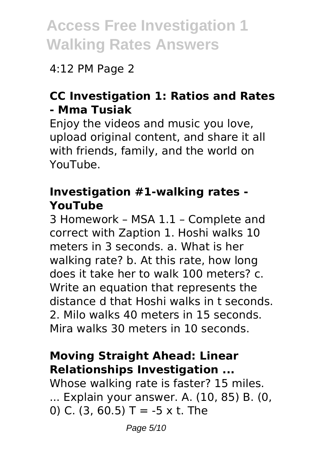### 4:12 PM Page 2

### **CC Investigation 1: Ratios and Rates - Mma Tusiak**

Enjoy the videos and music you love, upload original content, and share it all with friends, family, and the world on YouTube.

#### **Investigation #1-walking rates - YouTube**

3 Homework – MSA 1.1 – Complete and correct with Zaption 1. Hoshi walks 10 meters in 3 seconds. a. What is her walking rate? b. At this rate, how long does it take her to walk 100 meters? c. Write an equation that represents the distance d that Hoshi walks in t seconds. 2. Milo walks 40 meters in 15 seconds. Mira walks 30 meters in 10 seconds.

### **Moving Straight Ahead: Linear Relationships Investigation ...**

Whose walking rate is faster? 15 miles. ... Explain your answer. A. (10, 85) B. (0, 0) C. (3, 60.5) T =  $-5 \times t$ . The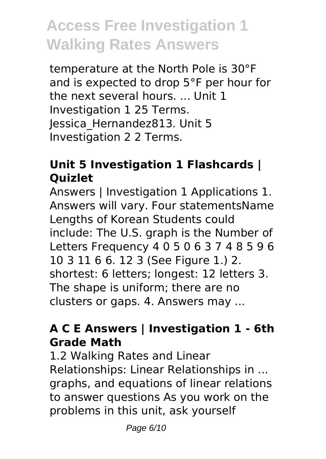temperature at the North Pole is 30°F and is expected to drop 5°F per hour for the next several hours. ... Unit 1 Investigation 1 25 Terms. Jessica\_Hernandez813. Unit 5 Investigation 2 2 Terms.

### **Unit 5 Investigation 1 Flashcards | Quizlet**

Answers | Investigation 1 Applications 1. Answers will vary. Four statementsName Lengths of Korean Students could include: The U.S. graph is the Number of Letters Frequency 4 0 5 0 6 3 7 4 8 5 9 6 10 3 11 6 6. 12 3 (See Figure 1.) 2. shortest: 6 letters; longest: 12 letters 3. The shape is uniform; there are no clusters or gaps. 4. Answers may ...

### **A C E Answers | Investigation 1 - 6th Grade Math**

1.2 Walking Rates and Linear Relationships: Linear Relationships in ... graphs, and equations of linear relations to answer questions As you work on the problems in this unit, ask yourself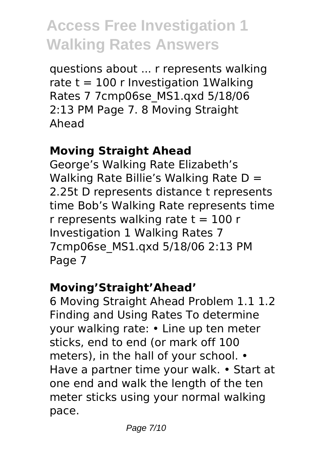questions about ... r represents walking rate  $t = 100$  r Investigation 1 Walking Rates 7 7cmp06se\_MS1.qxd 5/18/06 2:13 PM Page 7. 8 Moving Straight Ahead

### **Moving Straight Ahead**

George's Walking Rate Elizabeth's Walking Rate Billie's Walking Rate D = 2.25t D represents distance t represents time Bob's Walking Rate represents time r represents walking rate  $t = 100$  r Investigation 1 Walking Rates 7 7cmp06se\_MS1.qxd 5/18/06 2:13 PM Page 7

### **Moving'Straight'Ahead'**

6 Moving Straight Ahead Problem 1.1 1.2 Finding and Using Rates To determine your walking rate: • Line up ten meter sticks, end to end (or mark off 100 meters), in the hall of your school. • Have a partner time your walk. • Start at one end and walk the length of the ten meter sticks using your normal walking pace.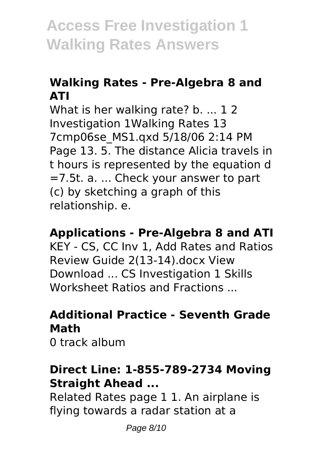### **Walking Rates - Pre-Algebra 8 and ATI**

What is her walking rate? b. ... 12 Investigation 1Walking Rates 13 7cmp06se\_MS1.qxd 5/18/06 2:14 PM Page 13. 5. The distance Alicia travels in t hours is represented by the equation d =7.5t. a. ... Check your answer to part (c) by sketching a graph of this relationship. e.

#### **Applications - Pre-Algebra 8 and ATI**

KEY - CS, CC Inv 1, Add Rates and Ratios Review Guide 2(13-14).docx View Download ... CS Investigation 1 Skills Worksheet Ratios and Fractions ...

#### **Additional Practice - Seventh Grade Math**

0 track album

#### **Direct Line: 1-855-789-2734 Moving Straight Ahead ...**

Related Rates page 1 1. An airplane is flying towards a radar station at a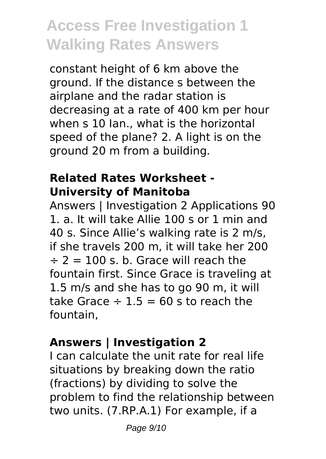constant height of 6 km above the ground. If the distance s between the airplane and the radar station is decreasing at a rate of 400 km per hour when s 10 Ian., what is the horizontal speed of the plane? 2. A light is on the ground 20 m from a building.

### **Related Rates Worksheet - University of Manitoba**

Answers | Investigation 2 Applications 90 1. a. It will take Allie 100 s or 1 min and 40 s. Since Allie's walking rate is 2 m/s, if she travels 200 m, it will take her 200  $\div$  2 = 100 s. b. Grace will reach the fountain first. Since Grace is traveling at 1.5 m/s and she has to go 90 m, it will take Grace  $\div$  1.5 = 60 s to reach the fountain,

### **Answers | Investigation 2**

I can calculate the unit rate for real life situations by breaking down the ratio (fractions) by dividing to solve the problem to find the relationship between two units. (7.RP.A.1) For example, if a